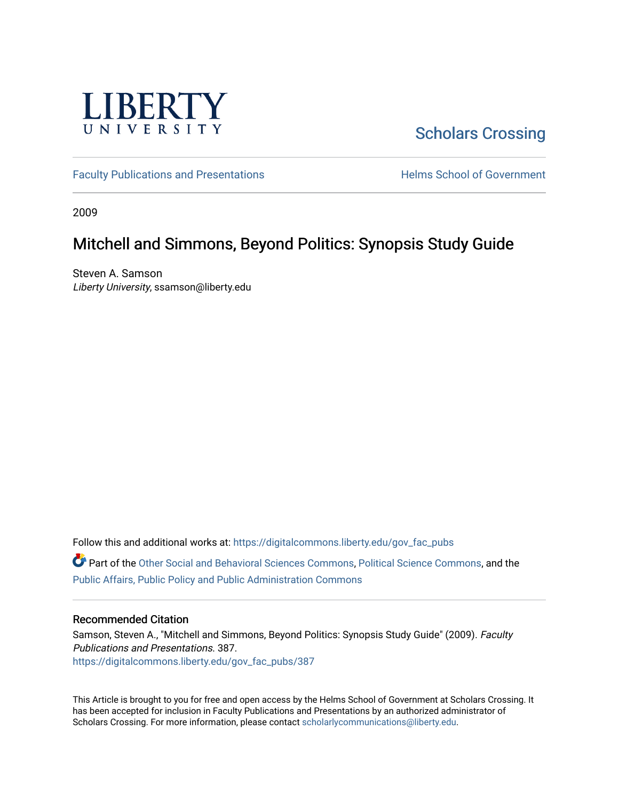

# [Scholars Crossing](https://digitalcommons.liberty.edu/)

[Faculty Publications and Presentations](https://digitalcommons.liberty.edu/gov_fac_pubs) **Exercise School of Government** 

2009

## Mitchell and Simmons, Beyond Politics: Synopsis Study Guide

Steven A. Samson Liberty University, ssamson@liberty.edu

Follow this and additional works at: [https://digitalcommons.liberty.edu/gov\\_fac\\_pubs](https://digitalcommons.liberty.edu/gov_fac_pubs?utm_source=digitalcommons.liberty.edu%2Fgov_fac_pubs%2F387&utm_medium=PDF&utm_campaign=PDFCoverPages)

Part of the [Other Social and Behavioral Sciences Commons](http://network.bepress.com/hgg/discipline/437?utm_source=digitalcommons.liberty.edu%2Fgov_fac_pubs%2F387&utm_medium=PDF&utm_campaign=PDFCoverPages), [Political Science Commons](http://network.bepress.com/hgg/discipline/386?utm_source=digitalcommons.liberty.edu%2Fgov_fac_pubs%2F387&utm_medium=PDF&utm_campaign=PDFCoverPages), and the [Public Affairs, Public Policy and Public Administration Commons](http://network.bepress.com/hgg/discipline/393?utm_source=digitalcommons.liberty.edu%2Fgov_fac_pubs%2F387&utm_medium=PDF&utm_campaign=PDFCoverPages)

### Recommended Citation

Samson, Steven A., "Mitchell and Simmons, Beyond Politics: Synopsis Study Guide" (2009). Faculty Publications and Presentations. 387. [https://digitalcommons.liberty.edu/gov\\_fac\\_pubs/387](https://digitalcommons.liberty.edu/gov_fac_pubs/387?utm_source=digitalcommons.liberty.edu%2Fgov_fac_pubs%2F387&utm_medium=PDF&utm_campaign=PDFCoverPages)

This Article is brought to you for free and open access by the Helms School of Government at Scholars Crossing. It has been accepted for inclusion in Faculty Publications and Presentations by an authorized administrator of Scholars Crossing. For more information, please contact [scholarlycommunications@liberty.edu.](mailto:scholarlycommunications@liberty.edu)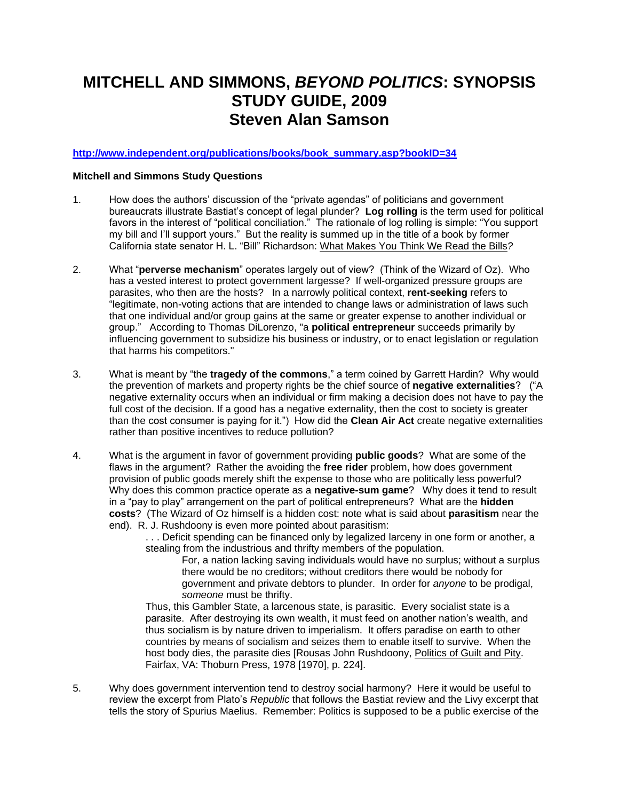# **MITCHELL AND SIMMONS,** *BEYOND POLITICS***: SYNOPSIS STUDY GUIDE, 2009 Steven Alan Samson**

### **[http://www.independent.org/publications/books/book\\_summary.asp?bookID=34](http://www.independent.org/publications/books/book_summary.asp?bookID=34)**

#### **Mitchell and Simmons Study Questions**

- 1. How does the authors' discussion of the "private agendas" of politicians and government bureaucrats illustrate Bastiat's concept of legal plunder? **Log rolling** is the term used for political favors in the interest of "political conciliation." The rationale of log rolling is simple: "You support my bill and I'll support yours." But the reality is summed up in the title of a book by former California state senator H. L. "Bill" Richardson: What Makes You Think We Read the Bills*?*
- 2. What "**perverse mechanism**" operates largely out of view? (Think of the Wizard of Oz). Who has a vested interest to protect government largesse? If well-organized pressure groups are parasites, who then are the hosts? In a narrowly political context, **rent-seeking** refers to "legitimate, non-voting actions that are intended to change laws or administration of laws such that one individual and/or group gains at the same or greater expense to another individual or group." According to Thomas DiLorenzo, "a **political entrepreneur** succeeds primarily by influencing government to subsidize his business or industry, or to enact legislation or regulation that harms his competitors."
- 3. What is meant by "the **tragedy of the commons**," a term coined by Garrett Hardin? Why would the prevention of markets and property rights be the chief source of **negative externalities**? ("A negative externality occurs when an individual or firm making a decision does not have to pay the full cost of the decision. If a good has a negative externality, then the cost to society is greater than the cost consumer is paying for it.") How did the **Clean Air Act** create negative externalities rather than positive incentives to reduce pollution?
- 4. What is the argument in favor of government providing **public goods**? What are some of the flaws in the argument? Rather the avoiding the **free rider** problem, how does government provision of public goods merely shift the expense to those who are politically less powerful? Why does this common practice operate as a **negative-sum game**? Why does it tend to result in a "pay to play" arrangement on the part of political entrepreneurs? What are the **hidden costs**? (The Wizard of Oz himself is a hidden cost: note what is said about **parasitism** near the end). R. J. Rushdoony is even more pointed about parasitism:

. . . Deficit spending can be financed only by legalized larceny in one form or another, a stealing from the industrious and thrifty members of the population.

For, a nation lacking saving individuals would have no surplus; without a surplus there would be no creditors; without creditors there would be nobody for government and private debtors to plunder. In order for *anyone* to be prodigal, *someone* must be thrifty.

Thus, this Gambler State, a larcenous state, is parasitic. Every socialist state is a parasite. After destroying its own wealth, it must feed on another nation's wealth, and thus socialism is by nature driven to imperialism. It offers paradise on earth to other countries by means of socialism and seizes them to enable itself to survive. When the host body dies, the parasite dies [Rousas John Rushdoony, Politics of Guilt and Pity. Fairfax, VA: Thoburn Press, 1978 [1970], p. 224].

5. Why does government intervention tend to destroy social harmony? Here it would be useful to review the excerpt from Plato's *Republic* that follows the Bastiat review and the Livy excerpt that tells the story of Spurius Maelius. Remember: Politics is supposed to be a public exercise of the